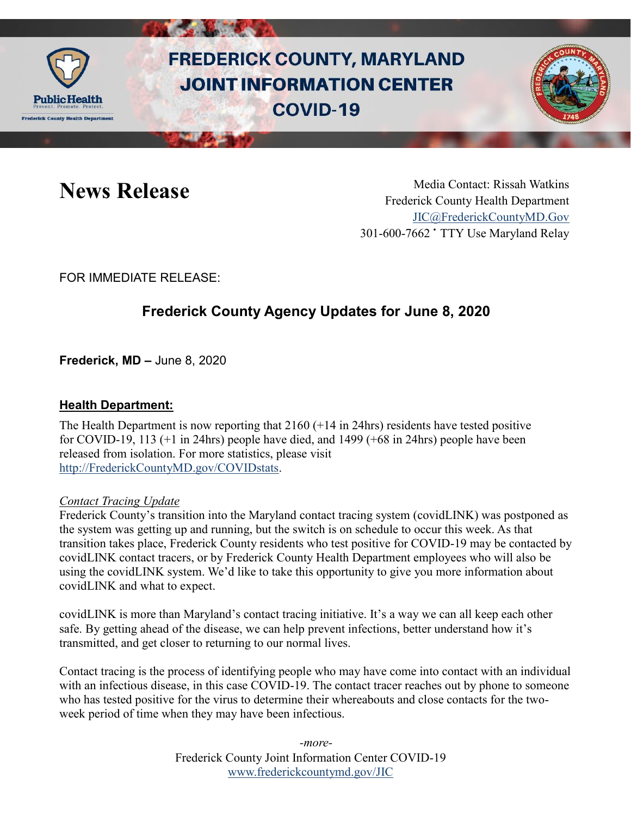

# **FREDERICK COUNTY, MARYLAND JOINT INFORMATION CENTER COVID-19**



News Release Media Contact: Rissah Watkins Frederick County Health Department [JIC@FrederickCountyMD.Gov](mailto:JIC@FrederickCountyMD.Gov) 301-600-7662 • TTY Use Maryland Relay

FOR IMMEDIATE RELEASE:

## **Frederick County Agency Updates for June 8, 2020**

**Frederick, MD –** June 8, 2020

#### **Health Department:**

The Health Department is now reporting that 2160 (+14 in 24hrs) residents have tested positive for COVID-19, 113 (+1 in 24hrs) people have died, and 1499 (+68 in 24hrs) people have been released from isolation. For more statistics, please visit [http://FrederickCountyMD.gov/COVIDstats.](http://frederickcountymd.gov/COVIDstats)

#### *Contact Tracing Update*

Frederick County's transition into the Maryland contact tracing system (covidLINK) was postponed as the system was getting up and running, but the switch is on schedule to occur this week. As that transition takes place, Frederick County residents who test positive for COVID-19 may be contacted by covidLINK contact tracers, or by Frederick County Health Department employees who will also be using the covidLINK system. We'd like to take this opportunity to give you more information about covidLINK and what to expect.

covidLINK is more than Maryland's contact tracing initiative. It's a way we can all keep each other safe. By getting ahead of the disease, we can help prevent infections, better understand how it's transmitted, and get closer to returning to our normal lives.

Contact tracing is the process of identifying people who may have come into contact with an individual with an infectious disease, in this case COVID-19. The contact tracer reaches out by phone to someone who has tested positive for the virus to determine their whereabouts and close contacts for the twoweek period of time when they may have been infectious.

> Frederick County Joint Information Center COVID-19 [www.frederickcountymd.gov/JIC](https://frederickcountymd.gov/JIC) *-more-*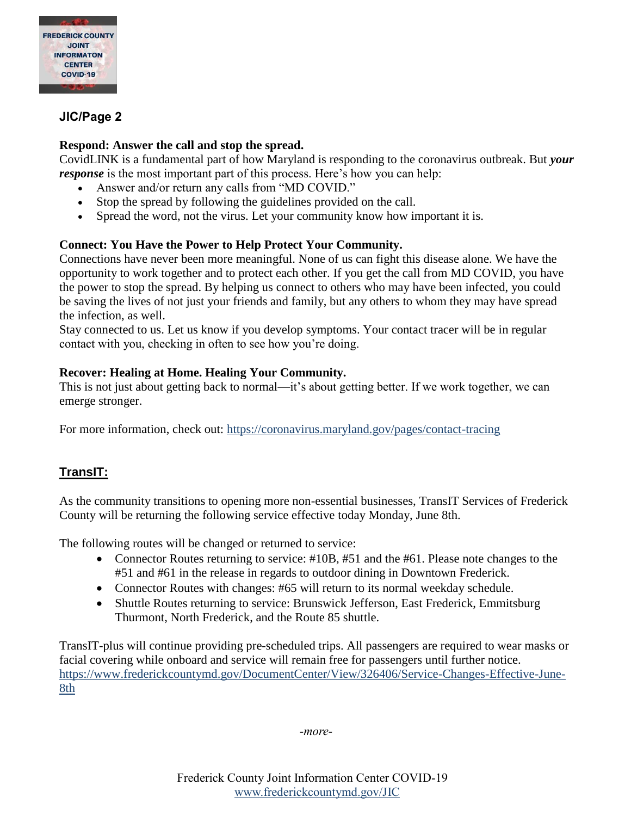

#### **JIC/Page 2**

#### **Respond: Answer the call and stop the spread.**

CovidLINK is a fundamental part of how Maryland is responding to the coronavirus outbreak. But *your response* is the most important part of this process. Here's how you can help:

- Answer and/or return any calls from "MD COVID."
- Stop the spread by following the guidelines provided on the call.
- Spread the word, not the virus. Let your community know how important it is.

#### **Connect: You Have the Power to Help Protect Your Community.**

Connections have never been more meaningful. None of us can fight this disease alone. We have the opportunity to work together and to protect each other. If you get the call from MD COVID, you have the power to stop the spread. By helping us connect to others who may have been infected, you could be saving the lives of not just your friends and family, but any others to whom they may have spread the infection, as well.

Stay connected to us. Let us know if you develop symptoms. Your contact tracer will be in regular contact with you, checking in often to see how you're doing.

#### **Recover: Healing at Home. Healing Your Community.**

This is not just about getting back to normal—it's about getting better. If we work together, we can emerge stronger.

For more information, check out:<https://coronavirus.maryland.gov/pages/contact-tracing>

### **TransIT:**

As the community transitions to opening more non-essential businesses, TransIT Services of Frederick County will be returning the following service effective today Monday, June 8th.

The following routes will be changed or returned to service:

- Connector Routes returning to service: #10B, #51 and the #61. Please note changes to the #51 and #61 in the release in regards to outdoor dining in Downtown Frederick.
- Connector Routes with changes: #65 will return to its normal weekday schedule.
- Shuttle Routes returning to service: Brunswick Jefferson, East Frederick, Emmitsburg Thurmont, North Frederick, and the Route 85 shuttle.

TransIT-plus will continue providing pre-scheduled trips. All passengers are required to wear masks or facial covering while onboard and service will remain free for passengers until further notice. [https://www.frederickcountymd.gov/DocumentCenter/View/326406/Service-Changes-Effective-June-](https://www.frederickcountymd.gov/DocumentCenter/View/326406/Service-Changes-Effective-June-8th)[8th](https://www.frederickcountymd.gov/DocumentCenter/View/326406/Service-Changes-Effective-June-8th)

*-more-*